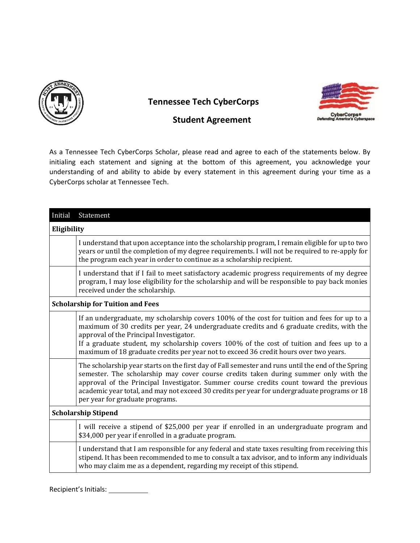

 **Tennessee Tech CyberCorps** 



## **Student Agreement**

As a Tennessee Tech CyberCorps Scholar, please read and agree to each of the statements below. By initialing each statement and signing at the bottom of this agreement, you acknowledge your understanding of and ability to abide by every statement in this agreement during your time as a CyberCorps scholar at Tennessee Tech.

| Initial                                 | Statement                                                                                                                                                                                                                                                                                                                                                                                                                  |  |
|-----------------------------------------|----------------------------------------------------------------------------------------------------------------------------------------------------------------------------------------------------------------------------------------------------------------------------------------------------------------------------------------------------------------------------------------------------------------------------|--|
| Eligibility                             |                                                                                                                                                                                                                                                                                                                                                                                                                            |  |
|                                         | I understand that upon acceptance into the scholarship program, I remain eligible for up to two<br>years or until the completion of my degree requirements. I will not be required to re-apply for<br>the program each year in order to continue as a scholarship recipient.                                                                                                                                               |  |
|                                         | I understand that if I fail to meet satisfactory academic progress requirements of my degree<br>program, I may lose eligibility for the scholarship and will be responsible to pay back monies<br>received under the scholarship.                                                                                                                                                                                          |  |
| <b>Scholarship for Tuition and Fees</b> |                                                                                                                                                                                                                                                                                                                                                                                                                            |  |
|                                         | If an undergraduate, my scholarship covers 100% of the cost for tuition and fees for up to a<br>maximum of 30 credits per year, 24 undergraduate credits and 6 graduate credits, with the<br>approval of the Principal Investigator.<br>If a graduate student, my scholarship covers 100% of the cost of tuition and fees up to a<br>maximum of 18 graduate credits per year not to exceed 36 credit hours over two years. |  |
|                                         | The scholarship year starts on the first day of Fall semester and runs until the end of the Spring<br>semester. The scholarship may cover course credits taken during summer only with the<br>approval of the Principal Investigator. Summer course credits count toward the previous<br>academic year total, and may not exceed 30 credits per year for undergraduate programs or 18<br>per year for graduate programs.   |  |
| <b>Scholarship Stipend</b>              |                                                                                                                                                                                                                                                                                                                                                                                                                            |  |
|                                         | I will receive a stipend of \$25,000 per year if enrolled in an undergraduate program and<br>\$34,000 per year if enrolled in a graduate program.                                                                                                                                                                                                                                                                          |  |
|                                         | I understand that I am responsible for any federal and state taxes resulting from receiving this<br>stipend. It has been recommended to me to consult a tax advisor, and to inform any individuals<br>who may claim me as a dependent, regarding my receipt of this stipend.                                                                                                                                               |  |

Recipient's Initials: \_\_\_\_\_\_\_\_\_\_\_\_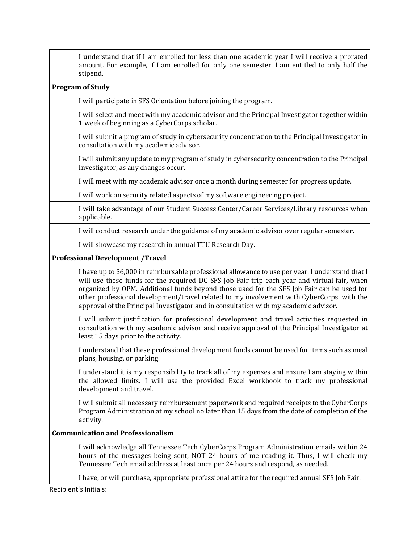|                                          | I understand that if I am enrolled for less than one academic year I will receive a prorated<br>amount. For example, if I am enrolled for only one semester, I am entitled to only half the<br>stipend.                                                                                                                                                                                                                                                                           |  |
|------------------------------------------|-----------------------------------------------------------------------------------------------------------------------------------------------------------------------------------------------------------------------------------------------------------------------------------------------------------------------------------------------------------------------------------------------------------------------------------------------------------------------------------|--|
| <b>Program of Study</b>                  |                                                                                                                                                                                                                                                                                                                                                                                                                                                                                   |  |
|                                          | I will participate in SFS Orientation before joining the program.                                                                                                                                                                                                                                                                                                                                                                                                                 |  |
|                                          | I will select and meet with my academic advisor and the Principal Investigator together within<br>1 week of beginning as a CyberCorps scholar.                                                                                                                                                                                                                                                                                                                                    |  |
|                                          | I will submit a program of study in cybersecurity concentration to the Principal Investigator in<br>consultation with my academic advisor.                                                                                                                                                                                                                                                                                                                                        |  |
|                                          | I will submit any update to my program of study in cybersecurity concentration to the Principal<br>Investigator, as any changes occur.                                                                                                                                                                                                                                                                                                                                            |  |
|                                          | I will meet with my academic advisor once a month during semester for progress update.                                                                                                                                                                                                                                                                                                                                                                                            |  |
|                                          | I will work on security related aspects of my software engineering project.                                                                                                                                                                                                                                                                                                                                                                                                       |  |
|                                          | I will take advantage of our Student Success Center/Career Services/Library resources when<br>applicable.                                                                                                                                                                                                                                                                                                                                                                         |  |
|                                          | I will conduct research under the guidance of my academic advisor over regular semester.                                                                                                                                                                                                                                                                                                                                                                                          |  |
|                                          | I will showcase my research in annual TTU Research Day.                                                                                                                                                                                                                                                                                                                                                                                                                           |  |
| <b>Professional Development /Travel</b>  |                                                                                                                                                                                                                                                                                                                                                                                                                                                                                   |  |
|                                          | I have up to \$6,000 in reimbursable professional allowance to use per year. I understand that I<br>will use these funds for the required DC SFS Job Fair trip each year and virtual fair, when<br>organized by OPM. Additional funds beyond those used for the SFS Job Fair can be used for<br>other professional development/travel related to my involvement with CyberCorps, with the<br>approval of the Principal Investigator and in consultation with my academic advisor. |  |
|                                          | I will submit justification for professional development and travel activities requested in<br>consultation with my academic advisor and receive approval of the Principal Investigator at<br>least 15 days prior to the activity.                                                                                                                                                                                                                                                |  |
|                                          | I understand that these professional development funds cannot be used for items such as meal<br>plans, housing, or parking.                                                                                                                                                                                                                                                                                                                                                       |  |
|                                          | I understand it is my responsibility to track all of my expenses and ensure I am staying within<br>the allowed limits. I will use the provided Excel workbook to track my professional<br>development and travel.                                                                                                                                                                                                                                                                 |  |
|                                          | I will submit all necessary reimbursement paperwork and required receipts to the CyberCorps<br>Program Administration at my school no later than 15 days from the date of completion of the<br>activity.                                                                                                                                                                                                                                                                          |  |
| <b>Communication and Professionalism</b> |                                                                                                                                                                                                                                                                                                                                                                                                                                                                                   |  |
|                                          | I will acknowledge all Tennessee Tech CyberCorps Program Administration emails within 24<br>hours of the messages being sent, NOT 24 hours of me reading it. Thus, I will check my<br>Tennessee Tech email address at least once per 24 hours and respond, as needed.                                                                                                                                                                                                             |  |
|                                          | I have, or will purchase, appropriate professional attire for the required annual SFS Job Fair.                                                                                                                                                                                                                                                                                                                                                                                   |  |
|                                          | Recipient's Initials:                                                                                                                                                                                                                                                                                                                                                                                                                                                             |  |